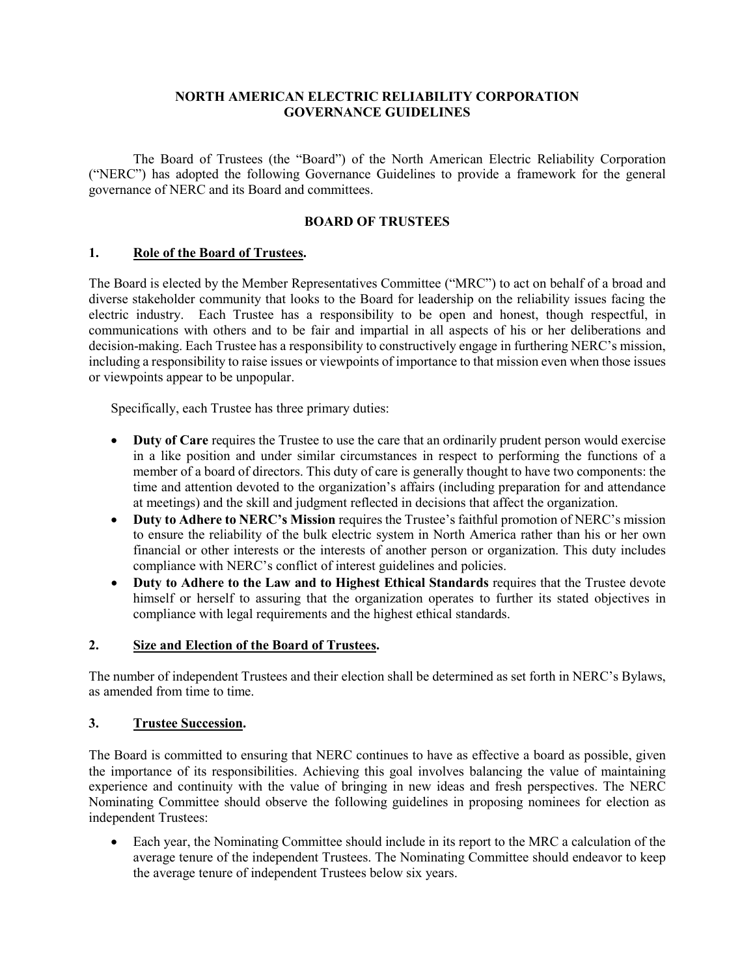## **NORTH AMERICAN ELECTRIC RELIABILITY CORPORATION GOVERNANCE GUIDELINES**

The Board of Trustees (the "Board") of the North American Electric Reliability Corporation ("NERC") has adopted the following Governance Guidelines to provide a framework for the general governance of NERC and its Board and committees.

## **BOARD OF TRUSTEES**

## **1. Role of the Board of Trustees.**

The Board is elected by the Member Representatives Committee ("MRC") to act on behalf of a broad and diverse stakeholder community that looks to the Board for leadership on the reliability issues facing the electric industry. Each Trustee has a responsibility to be open and honest, though respectful, in communications with others and to be fair and impartial in all aspects of his or her deliberations and decision-making. Each Trustee has a responsibility to constructively engage in furthering NERC's mission, including a responsibility to raise issues or viewpoints of importance to that mission even when those issues or viewpoints appear to be unpopular.

Specifically, each Trustee has three primary duties:

- **Duty of Care** requires the Trustee to use the care that an ordinarily prudent person would exercise in a like position and under similar circumstances in respect to performing the functions of a member of a board of directors. This duty of care is generally thought to have two components: the time and attention devoted to the organization's affairs (including preparation for and attendance at meetings) and the skill and judgment reflected in decisions that affect the organization.
- **Duty to Adhere to NERC's Mission** requires the Trustee's faithful promotion of NERC's mission to ensure the reliability of the bulk electric system in North America rather than his or her own financial or other interests or the interests of another person or organization. This duty includes compliance with NERC's conflict of interest guidelines and policies.
- **Duty to Adhere to the Law and to Highest Ethical Standards** requires that the Trustee devote himself or herself to assuring that the organization operates to further its stated objectives in compliance with legal requirements and the highest ethical standards.

## **2. Size and Election of the Board of Trustees.**

The number of independent Trustees and their election shall be determined as set forth in NERC's Bylaws, as amended from time to time.

## **3. Trustee Succession.**

The Board is committed to ensuring that NERC continues to have as effective a board as possible, given the importance of its responsibilities. Achieving this goal involves balancing the value of maintaining experience and continuity with the value of bringing in new ideas and fresh perspectives. The NERC Nominating Committee should observe the following guidelines in proposing nominees for election as independent Trustees:

• Each year, the Nominating Committee should include in its report to the MRC a calculation of the average tenure of the independent Trustees. The Nominating Committee should endeavor to keep the average tenure of independent Trustees below six years.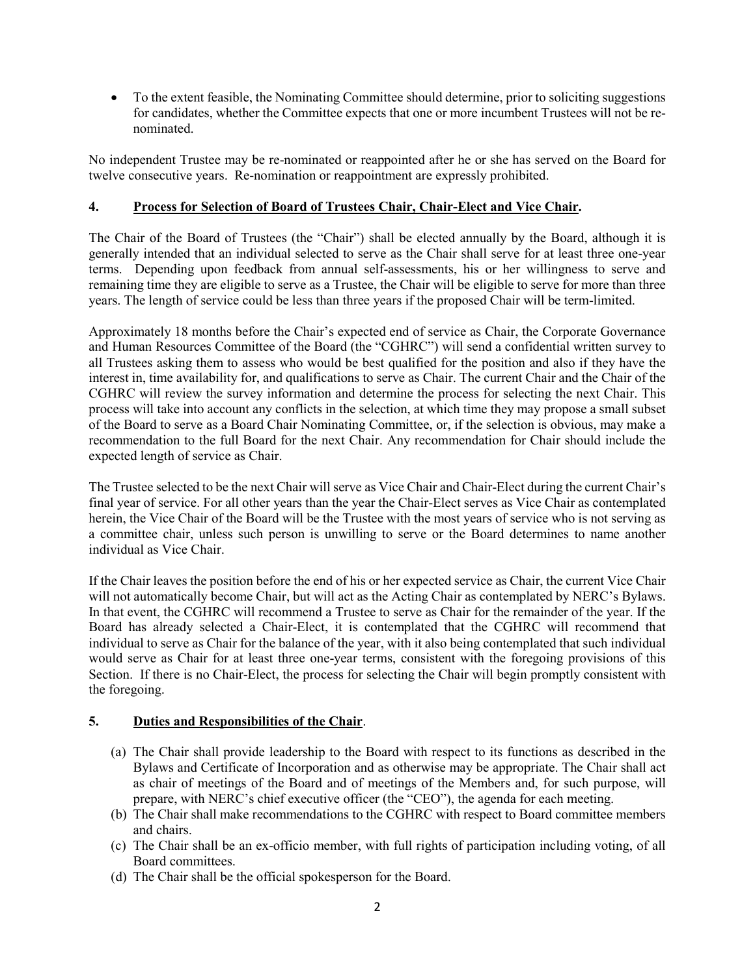• To the extent feasible, the Nominating Committee should determine, prior to soliciting suggestions for candidates, whether the Committee expects that one or more incumbent Trustees will not be renominated.

No independent Trustee may be re-nominated or reappointed after he or she has served on the Board for twelve consecutive years. Re-nomination or reappointment are expressly prohibited.

## **4. Process for Selection of Board of Trustees Chair, Chair-Elect and Vice Chair.**

The Chair of the Board of Trustees (the "Chair") shall be elected annually by the Board, although it is generally intended that an individual selected to serve as the Chair shall serve for at least three one-year terms. Depending upon feedback from annual self-assessments, his or her willingness to serve and remaining time they are eligible to serve as a Trustee, the Chair will be eligible to serve for more than three years. The length of service could be less than three years if the proposed Chair will be term-limited.

Approximately 18 months before the Chair's expected end of service as Chair, the Corporate Governance and Human Resources Committee of the Board (the "CGHRC") will send a confidential written survey to all Trustees asking them to assess who would be best qualified for the position and also if they have the interest in, time availability for, and qualifications to serve as Chair. The current Chair and the Chair of the CGHRC will review the survey information and determine the process for selecting the next Chair. This process will take into account any conflicts in the selection, at which time they may propose a small subset of the Board to serve as a Board Chair Nominating Committee, or, if the selection is obvious, may make a recommendation to the full Board for the next Chair. Any recommendation for Chair should include the expected length of service as Chair.

The Trustee selected to be the next Chair will serve as Vice Chair and Chair-Elect during the current Chair's final year of service. For all other years than the year the Chair-Elect serves as Vice Chair as contemplated herein, the Vice Chair of the Board will be the Trustee with the most years of service who is not serving as a committee chair, unless such person is unwilling to serve or the Board determines to name another individual as Vice Chair.

If the Chair leaves the position before the end of his or her expected service as Chair, the current Vice Chair will not automatically become Chair, but will act as the Acting Chair as contemplated by NERC's Bylaws. In that event, the CGHRC will recommend a Trustee to serve as Chair for the remainder of the year. If the Board has already selected a Chair-Elect, it is contemplated that the CGHRC will recommend that individual to serve as Chair for the balance of the year, with it also being contemplated that such individual would serve as Chair for at least three one-year terms, consistent with the foregoing provisions of this Section. If there is no Chair-Elect, the process for selecting the Chair will begin promptly consistent with the foregoing.

# **5. Duties and Responsibilities of the Chair**.

- (a) The Chair shall provide leadership to the Board with respect to its functions as described in the Bylaws and Certificate of Incorporation and as otherwise may be appropriate. The Chair shall act as chair of meetings of the Board and of meetings of the Members and, for such purpose, will prepare, with NERC's chief executive officer (the "CEO"), the agenda for each meeting.
- (b) The Chair shall make recommendations to the CGHRC with respect to Board committee members and chairs.
- (c) The Chair shall be an ex-officio member, with full rights of participation including voting, of all Board committees.
- (d) The Chair shall be the official spokesperson for the Board.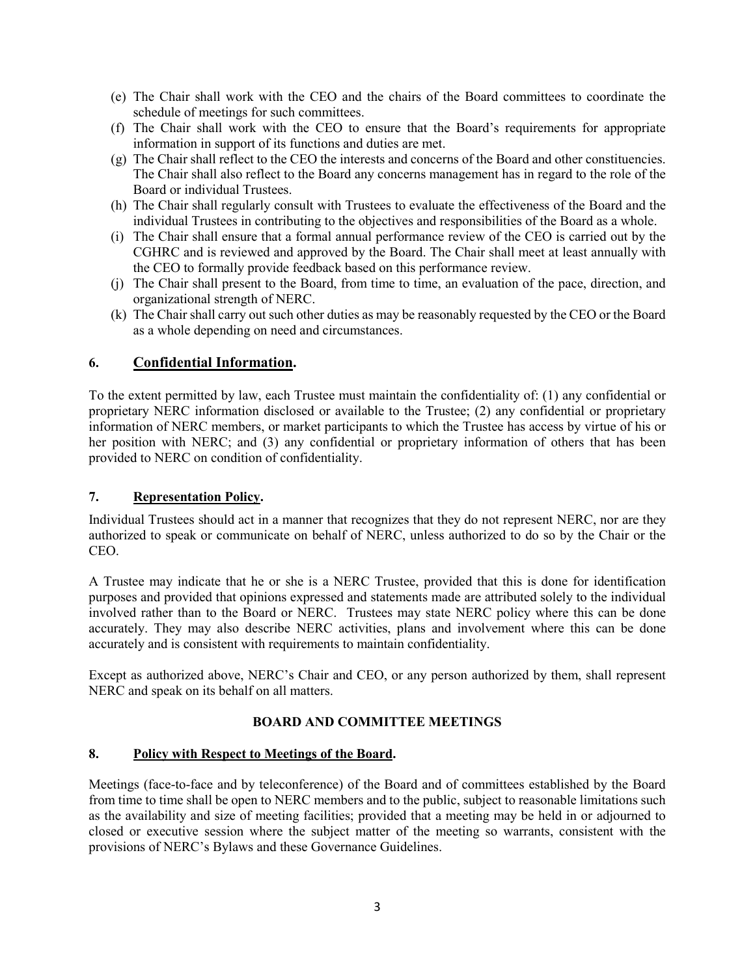- (e) The Chair shall work with the CEO and the chairs of the Board committees to coordinate the schedule of meetings for such committees.
- (f) The Chair shall work with the CEO to ensure that the Board's requirements for appropriate information in support of its functions and duties are met.
- (g) The Chair shall reflect to the CEO the interests and concerns of the Board and other constituencies. The Chair shall also reflect to the Board any concerns management has in regard to the role of the Board or individual Trustees.
- (h) The Chair shall regularly consult with Trustees to evaluate the effectiveness of the Board and the individual Trustees in contributing to the objectives and responsibilities of the Board as a whole.
- (i) The Chair shall ensure that a formal annual performance review of the CEO is carried out by the CGHRC and is reviewed and approved by the Board. The Chair shall meet at least annually with the CEO to formally provide feedback based on this performance review.
- (j) The Chair shall present to the Board, from time to time, an evaluation of the pace, direction, and organizational strength of NERC.
- (k) The Chair shall carry out such other duties as may be reasonably requested by the CEO or the Board as a whole depending on need and circumstances.

# **6. Confidential Information.**

To the extent permitted by law, each Trustee must maintain the confidentiality of: (1) any confidential or proprietary NERC information disclosed or available to the Trustee; (2) any confidential or proprietary information of NERC members, or market participants to which the Trustee has access by virtue of his or her position with NERC; and (3) any confidential or proprietary information of others that has been provided to NERC on condition of confidentiality.

## **7. Representation Policy.**

Individual Trustees should act in a manner that recognizes that they do not represent NERC, nor are they authorized to speak or communicate on behalf of NERC, unless authorized to do so by the Chair or the CEO.

A Trustee may indicate that he or she is a NERC Trustee, provided that this is done for identification purposes and provided that opinions expressed and statements made are attributed solely to the individual involved rather than to the Board or NERC. Trustees may state NERC policy where this can be done accurately. They may also describe NERC activities, plans and involvement where this can be done accurately and is consistent with requirements to maintain confidentiality.

Except as authorized above, NERC's Chair and CEO, or any person authorized by them, shall represent NERC and speak on its behalf on all matters.

# **BOARD AND COMMITTEE MEETINGS**

## **8. Policy with Respect to Meetings of the Board.**

Meetings (face-to-face and by teleconference) of the Board and of committees established by the Board from time to time shall be open to NERC members and to the public, subject to reasonable limitations such as the availability and size of meeting facilities; provided that a meeting may be held in or adjourned to closed or executive session where the subject matter of the meeting so warrants, consistent with the provisions of NERC's Bylaws and these Governance Guidelines.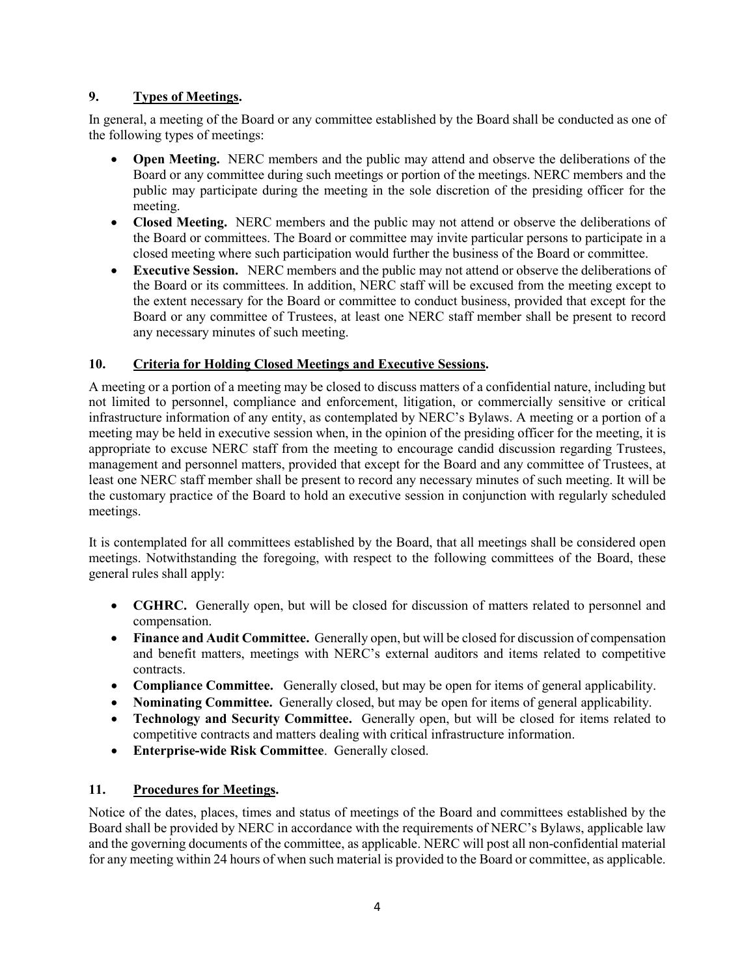# **9. Types of Meetings.**

In general, a meeting of the Board or any committee established by the Board shall be conducted as one of the following types of meetings:

- **Open Meeting.** NERC members and the public may attend and observe the deliberations of the Board or any committee during such meetings or portion of the meetings. NERC members and the public may participate during the meeting in the sole discretion of the presiding officer for the meeting.
- **Closed Meeting.** NERC members and the public may not attend or observe the deliberations of the Board or committees. The Board or committee may invite particular persons to participate in a closed meeting where such participation would further the business of the Board or committee.
- **Executive Session.** NERC members and the public may not attend or observe the deliberations of the Board or its committees. In addition, NERC staff will be excused from the meeting except to the extent necessary for the Board or committee to conduct business, provided that except for the Board or any committee of Trustees, at least one NERC staff member shall be present to record any necessary minutes of such meeting.

# **10. Criteria for Holding Closed Meetings and Executive Sessions.**

A meeting or a portion of a meeting may be closed to discuss matters of a confidential nature, including but not limited to personnel, compliance and enforcement, litigation, or commercially sensitive or critical infrastructure information of any entity, as contemplated by NERC's Bylaws. A meeting or a portion of a meeting may be held in executive session when, in the opinion of the presiding officer for the meeting, it is appropriate to excuse NERC staff from the meeting to encourage candid discussion regarding Trustees, management and personnel matters, provided that except for the Board and any committee of Trustees, at least one NERC staff member shall be present to record any necessary minutes of such meeting. It will be the customary practice of the Board to hold an executive session in conjunction with regularly scheduled meetings.

It is contemplated for all committees established by the Board, that all meetings shall be considered open meetings. Notwithstanding the foregoing, with respect to the following committees of the Board, these general rules shall apply:

- **CGHRC.** Generally open, but will be closed for discussion of matters related to personnel and compensation.
- **Finance and Audit Committee.** Generally open, but will be closed for discussion of compensation and benefit matters, meetings with NERC's external auditors and items related to competitive contracts.
- **Compliance Committee.** Generally closed, but may be open for items of general applicability.
- **Nominating Committee.** Generally closed, but may be open for items of general applicability.
- **Technology and Security Committee.** Generally open, but will be closed for items related to competitive contracts and matters dealing with critical infrastructure information.
- **Enterprise-wide Risk Committee**. Generally closed.

# **11. Procedures for Meetings.**

Notice of the dates, places, times and status of meetings of the Board and committees established by the Board shall be provided by NERC in accordance with the requirements of NERC's Bylaws, applicable law and the governing documents of the committee, as applicable. NERC will post all non-confidential material for any meeting within 24 hours of when such material is provided to the Board or committee, as applicable.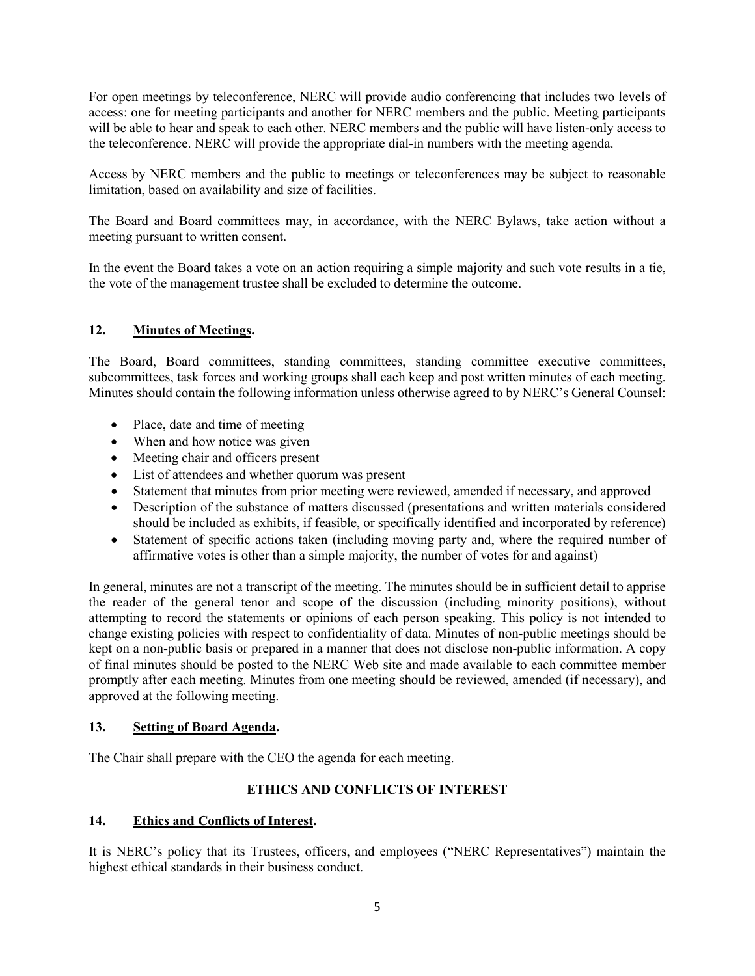For open meetings by teleconference, NERC will provide audio conferencing that includes two levels of access: one for meeting participants and another for NERC members and the public. Meeting participants will be able to hear and speak to each other. NERC members and the public will have listen-only access to the teleconference. NERC will provide the appropriate dial-in numbers with the meeting agenda.

Access by NERC members and the public to meetings or teleconferences may be subject to reasonable limitation, based on availability and size of facilities.

The Board and Board committees may, in accordance, with the NERC Bylaws, take action without a meeting pursuant to written consent.

In the event the Board takes a vote on an action requiring a simple majority and such vote results in a tie, the vote of the management trustee shall be excluded to determine the outcome.

## **12. Minutes of Meetings.**

The Board, Board committees, standing committees, standing committee executive committees, subcommittees, task forces and working groups shall each keep and post written minutes of each meeting. Minutes should contain the following information unless otherwise agreed to by NERC's General Counsel:

- Place, date and time of meeting
- When and how notice was given
- Meeting chair and officers present
- List of attendees and whether quorum was present
- Statement that minutes from prior meeting were reviewed, amended if necessary, and approved
- Description of the substance of matters discussed (presentations and written materials considered should be included as exhibits, if feasible, or specifically identified and incorporated by reference)
- Statement of specific actions taken (including moving party and, where the required number of affirmative votes is other than a simple majority, the number of votes for and against)

In general, minutes are not a transcript of the meeting. The minutes should be in sufficient detail to apprise the reader of the general tenor and scope of the discussion (including minority positions), without attempting to record the statements or opinions of each person speaking. This policy is not intended to change existing policies with respect to confidentiality of data. Minutes of non-public meetings should be kept on a non-public basis or prepared in a manner that does not disclose non-public information. A copy of final minutes should be posted to the NERC Web site and made available to each committee member promptly after each meeting. Minutes from one meeting should be reviewed, amended (if necessary), and approved at the following meeting.

## **13. Setting of Board Agenda.**

The Chair shall prepare with the CEO the agenda for each meeting.

# **ETHICS AND CONFLICTS OF INTEREST**

## **14. Ethics and Conflicts of Interest.**

It is NERC's policy that its Trustees, officers, and employees ("NERC Representatives") maintain the highest ethical standards in their business conduct.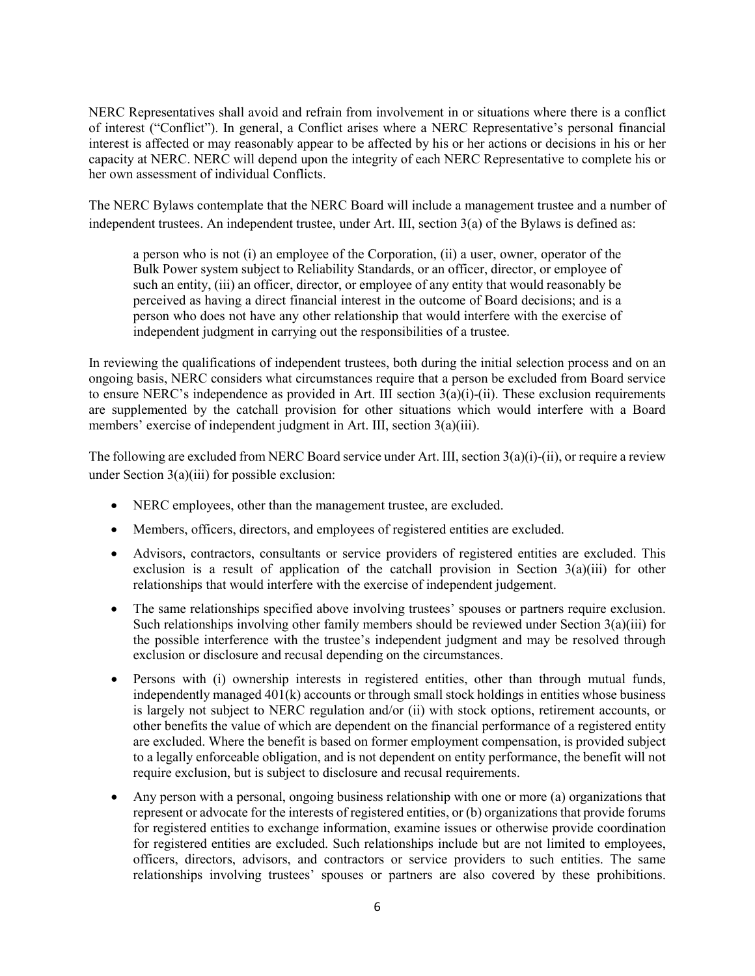NERC Representatives shall avoid and refrain from involvement in or situations where there is a conflict of interest ("Conflict"). In general, a Conflict arises where a NERC Representative's personal financial interest is affected or may reasonably appear to be affected by his or her actions or decisions in his or her capacity at NERC. NERC will depend upon the integrity of each NERC Representative to complete his or her own assessment of individual Conflicts.

The NERC Bylaws contemplate that the NERC Board will include a management trustee and a number of independent trustees. An independent trustee, under Art. III, section 3(a) of the Bylaws is defined as:

a person who is not (i) an employee of the Corporation, (ii) a user, owner, operator of the Bulk Power system subject to Reliability Standards, or an officer, director, or employee of such an entity, (iii) an officer, director, or employee of any entity that would reasonably be perceived as having a direct financial interest in the outcome of Board decisions; and is a person who does not have any other relationship that would interfere with the exercise of independent judgment in carrying out the responsibilities of a trustee.

In reviewing the qualifications of independent trustees, both during the initial selection process and on an ongoing basis, NERC considers what circumstances require that a person be excluded from Board service to ensure NERC's independence as provided in Art. III section  $3(a)(i)$ -(ii). These exclusion requirements are supplemented by the catchall provision for other situations which would interfere with a Board members' exercise of independent judgment in Art. III, section 3(a)(iii).

The following are excluded from NERC Board service under Art. III, section 3(a)(i)-(ii), or require a review under Section  $3(a)(iii)$  for possible exclusion:

- NERC employees, other than the management trustee, are excluded.
- Members, officers, directors, and employees of registered entities are excluded.
- Advisors, contractors, consultants or service providers of registered entities are excluded. This exclusion is a result of application of the catchall provision in Section  $3(a)(iii)$  for other relationships that would interfere with the exercise of independent judgement.
- The same relationships specified above involving trustees' spouses or partners require exclusion. Such relationships involving other family members should be reviewed under Section 3(a)(iii) for the possible interference with the trustee's independent judgment and may be resolved through exclusion or disclosure and recusal depending on the circumstances.
- Persons with (i) ownership interests in registered entities, other than through mutual funds, independently managed  $401(k)$  accounts or through small stock holdings in entities whose business is largely not subject to NERC regulation and/or (ii) with stock options, retirement accounts, or other benefits the value of which are dependent on the financial performance of a registered entity are excluded. Where the benefit is based on former employment compensation, is provided subject to a legally enforceable obligation, and is not dependent on entity performance, the benefit will not require exclusion, but is subject to disclosure and recusal requirements.
- Any person with a personal, ongoing business relationship with one or more (a) organizations that represent or advocate for the interests of registered entities, or (b) organizations that provide forums for registered entities to exchange information, examine issues or otherwise provide coordination for registered entities are excluded. Such relationships include but are not limited to employees, officers, directors, advisors, and contractors or service providers to such entities. The same relationships involving trustees' spouses or partners are also covered by these prohibitions.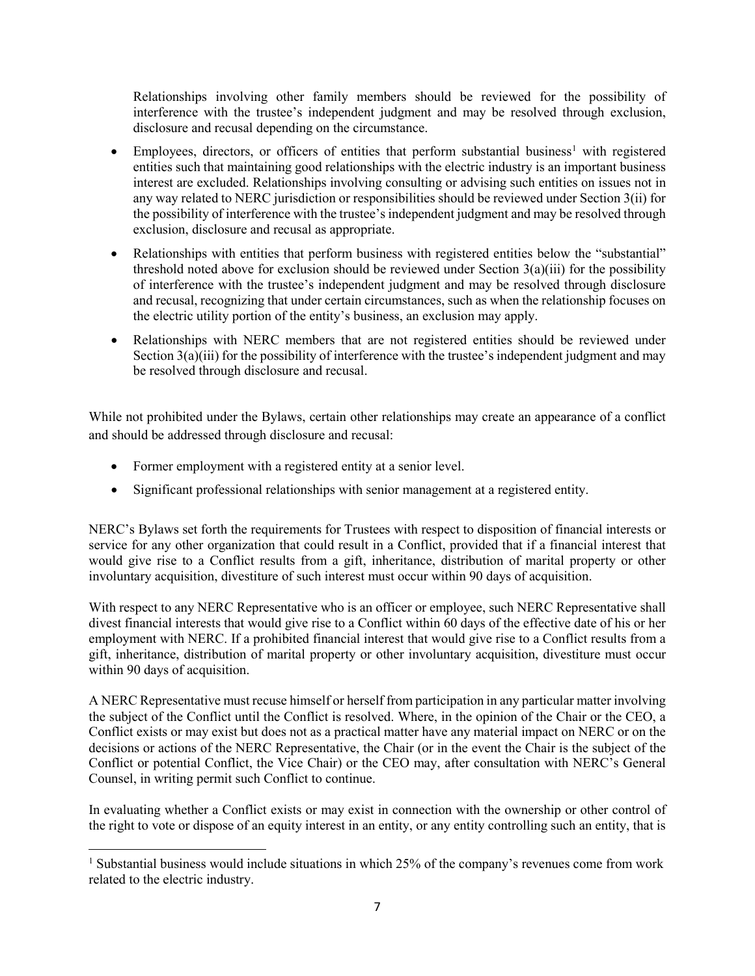Relationships involving other family members should be reviewed for the possibility of interference with the trustee's independent judgment and may be resolved through exclusion, disclosure and recusal depending on the circumstance.

- Employees, directors, or officers of entities that perform substantial business<sup>[1](#page-6-0)</sup> with registered entities such that maintaining good relationships with the electric industry is an important business interest are excluded. Relationships involving consulting or advising such entities on issues not in any way related to NERC jurisdiction or responsibilities should be reviewed under Section 3(ii) for the possibility of interference with the trustee's independent judgment and may be resolved through exclusion, disclosure and recusal as appropriate.
- Relationships with entities that perform business with registered entities below the "substantial" threshold noted above for exclusion should be reviewed under Section  $3(a)(iii)$  for the possibility of interference with the trustee's independent judgment and may be resolved through disclosure and recusal, recognizing that under certain circumstances, such as when the relationship focuses on the electric utility portion of the entity's business, an exclusion may apply.
- Relationships with NERC members that are not registered entities should be reviewed under Section 3(a)(iii) for the possibility of interference with the trustee's independent judgment and may be resolved through disclosure and recusal.

While not prohibited under the Bylaws, certain other relationships may create an appearance of a conflict and should be addressed through disclosure and recusal:

• Former employment with a registered entity at a senior level.

l

• Significant professional relationships with senior management at a registered entity.

NERC's Bylaws set forth the requirements for Trustees with respect to disposition of financial interests or service for any other organization that could result in a Conflict, provided that if a financial interest that would give rise to a Conflict results from a gift, inheritance, distribution of marital property or other involuntary acquisition, divestiture of such interest must occur within 90 days of acquisition.

With respect to any NERC Representative who is an officer or employee, such NERC Representative shall divest financial interests that would give rise to a Conflict within 60 days of the effective date of his or her employment with NERC. If a prohibited financial interest that would give rise to a Conflict results from a gift, inheritance, distribution of marital property or other involuntary acquisition, divestiture must occur within 90 days of acquisition.

A NERC Representative must recuse himself or herself from participation in any particular matter involving the subject of the Conflict until the Conflict is resolved. Where, in the opinion of the Chair or the CEO, a Conflict exists or may exist but does not as a practical matter have any material impact on NERC or on the decisions or actions of the NERC Representative, the Chair (or in the event the Chair is the subject of the Conflict or potential Conflict, the Vice Chair) or the CEO may, after consultation with NERC's General Counsel, in writing permit such Conflict to continue.

In evaluating whether a Conflict exists or may exist in connection with the ownership or other control of the right to vote or dispose of an equity interest in an entity, or any entity controlling such an entity, that is

<span id="page-6-0"></span><sup>&</sup>lt;sup>1</sup> Substantial business would include situations in which 25% of the company's revenues come from work related to the electric industry.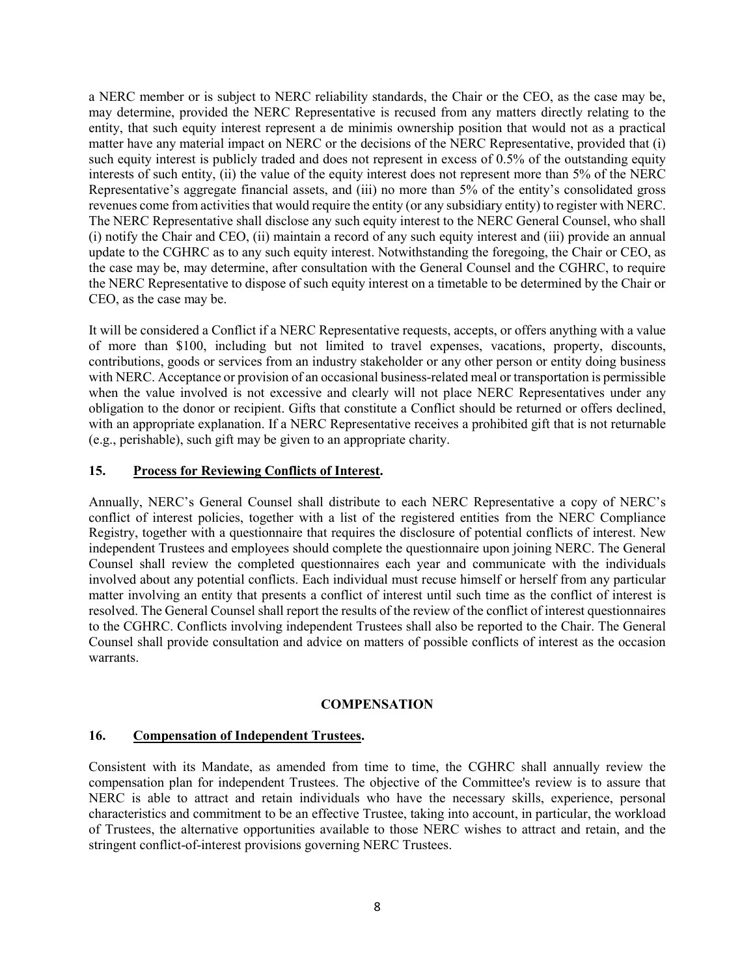a NERC member or is subject to NERC reliability standards, the Chair or the CEO, as the case may be, may determine, provided the NERC Representative is recused from any matters directly relating to the entity, that such equity interest represent a de minimis ownership position that would not as a practical matter have any material impact on NERC or the decisions of the NERC Representative, provided that (i) such equity interest is publicly traded and does not represent in excess of 0.5% of the outstanding equity interests of such entity, (ii) the value of the equity interest does not represent more than 5% of the NERC Representative's aggregate financial assets, and (iii) no more than 5% of the entity's consolidated gross revenues come from activities that would require the entity (or any subsidiary entity) to register with NERC. The NERC Representative shall disclose any such equity interest to the NERC General Counsel, who shall (i) notify the Chair and CEO, (ii) maintain a record of any such equity interest and (iii) provide an annual update to the CGHRC as to any such equity interest. Notwithstanding the foregoing, the Chair or CEO, as the case may be, may determine, after consultation with the General Counsel and the CGHRC, to require the NERC Representative to dispose of such equity interest on a timetable to be determined by the Chair or CEO, as the case may be.

It will be considered a Conflict if a NERC Representative requests, accepts, or offers anything with a value of more than \$100, including but not limited to travel expenses, vacations, property, discounts, contributions, goods or services from an industry stakeholder or any other person or entity doing business with NERC. Acceptance or provision of an occasional business-related meal or transportation is permissible when the value involved is not excessive and clearly will not place NERC Representatives under any obligation to the donor or recipient. Gifts that constitute a Conflict should be returned or offers declined, with an appropriate explanation. If a NERC Representative receives a prohibited gift that is not returnable (e.g., perishable), such gift may be given to an appropriate charity.

# **15. Process for Reviewing Conflicts of Interest.**

Annually, NERC's General Counsel shall distribute to each NERC Representative a copy of NERC's conflict of interest policies, together with a list of the registered entities from the NERC Compliance Registry, together with a questionnaire that requires the disclosure of potential conflicts of interest. New independent Trustees and employees should complete the questionnaire upon joining NERC. The General Counsel shall review the completed questionnaires each year and communicate with the individuals involved about any potential conflicts. Each individual must recuse himself or herself from any particular matter involving an entity that presents a conflict of interest until such time as the conflict of interest is resolved. The General Counsel shall report the results of the review of the conflict of interest questionnaires to the CGHRC. Conflicts involving independent Trustees shall also be reported to the Chair. The General Counsel shall provide consultation and advice on matters of possible conflicts of interest as the occasion warrants.

## **COMPENSATION**

## **16. Compensation of Independent Trustees.**

Consistent with its Mandate, as amended from time to time, the CGHRC shall annually review the compensation plan for independent Trustees. The objective of the Committee's review is to assure that NERC is able to attract and retain individuals who have the necessary skills, experience, personal characteristics and commitment to be an effective Trustee, taking into account, in particular, the workload of Trustees, the alternative opportunities available to those NERC wishes to attract and retain, and the stringent conflict-of-interest provisions governing NERC Trustees.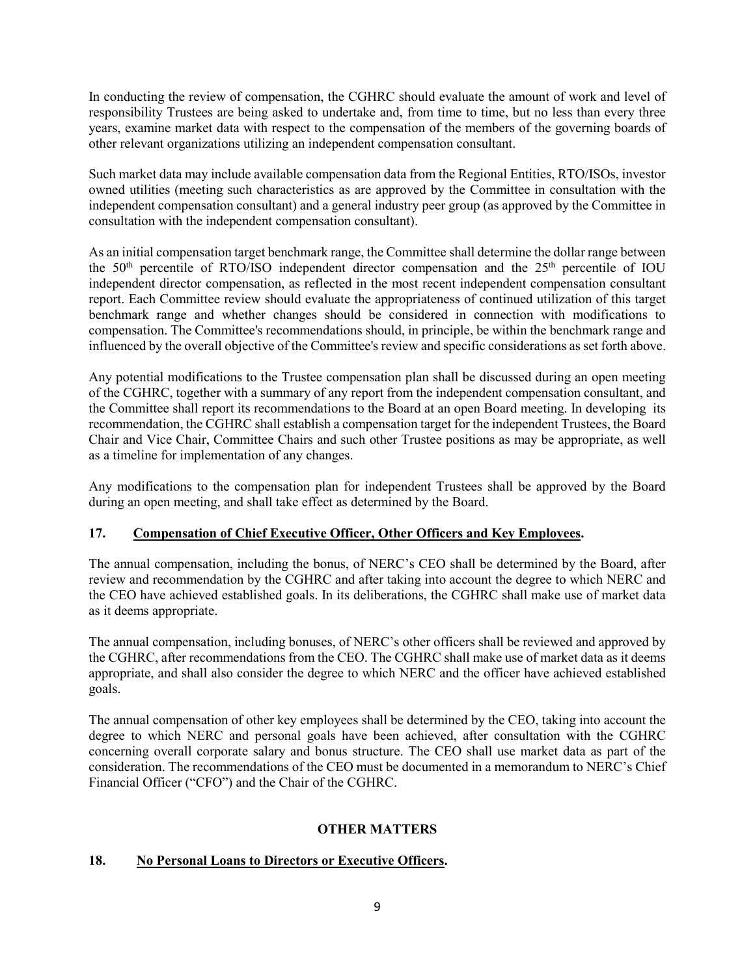In conducting the review of compensation, the CGHRC should evaluate the amount of work and level of responsibility Trustees are being asked to undertake and, from time to time, but no less than every three years, examine market data with respect to the compensation of the members of the governing boards of other relevant organizations utilizing an independent compensation consultant.

Such market data may include available compensation data from the Regional Entities, RTO/ISOs, investor owned utilities (meeting such characteristics as are approved by the Committee in consultation with the independent compensation consultant) and a general industry peer group (as approved by the Committee in consultation with the independent compensation consultant).

As an initial compensation target benchmark range, the Committee shall determine the dollar range between the  $50<sup>th</sup>$  percentile of RTO/ISO independent director compensation and the  $25<sup>th</sup>$  percentile of IOU independent director compensation, as reflected in the most recent independent compensation consultant report. Each Committee review should evaluate the appropriateness of continued utilization of this target benchmark range and whether changes should be considered in connection with modifications to compensation. The Committee's recommendations should, in principle, be within the benchmark range and influenced by the overall objective of the Committee's review and specific considerations as set forth above.

Any potential modifications to the Trustee compensation plan shall be discussed during an open meeting of the CGHRC, together with a summary of any report from the independent compensation consultant, and the Committee shall report its recommendations to the Board at an open Board meeting. In developing its recommendation, the CGHRC shall establish a compensation target for the independent Trustees, the Board Chair and Vice Chair, Committee Chairs and such other Trustee positions as may be appropriate, as well as a timeline for implementation of any changes.

Any modifications to the compensation plan for independent Trustees shall be approved by the Board during an open meeting, and shall take effect as determined by the Board.

# **17. Compensation of Chief Executive Officer, Other Officers and Key Employees.**

The annual compensation, including the bonus, of NERC's CEO shall be determined by the Board, after review and recommendation by the CGHRC and after taking into account the degree to which NERC and the CEO have achieved established goals. In its deliberations, the CGHRC shall make use of market data as it deems appropriate.

The annual compensation, including bonuses, of NERC's other officers shall be reviewed and approved by the CGHRC, after recommendations from the CEO. The CGHRC shall make use of market data as it deems appropriate, and shall also consider the degree to which NERC and the officer have achieved established goals.

The annual compensation of other key employees shall be determined by the CEO, taking into account the degree to which NERC and personal goals have been achieved, after consultation with the CGHRC concerning overall corporate salary and bonus structure. The CEO shall use market data as part of the consideration. The recommendations of the CEO must be documented in a memorandum to NERC's Chief Financial Officer ("CFO") and the Chair of the CGHRC.

# **OTHER MATTERS**

# **18. No Personal Loans to Directors or Executive Officers.**